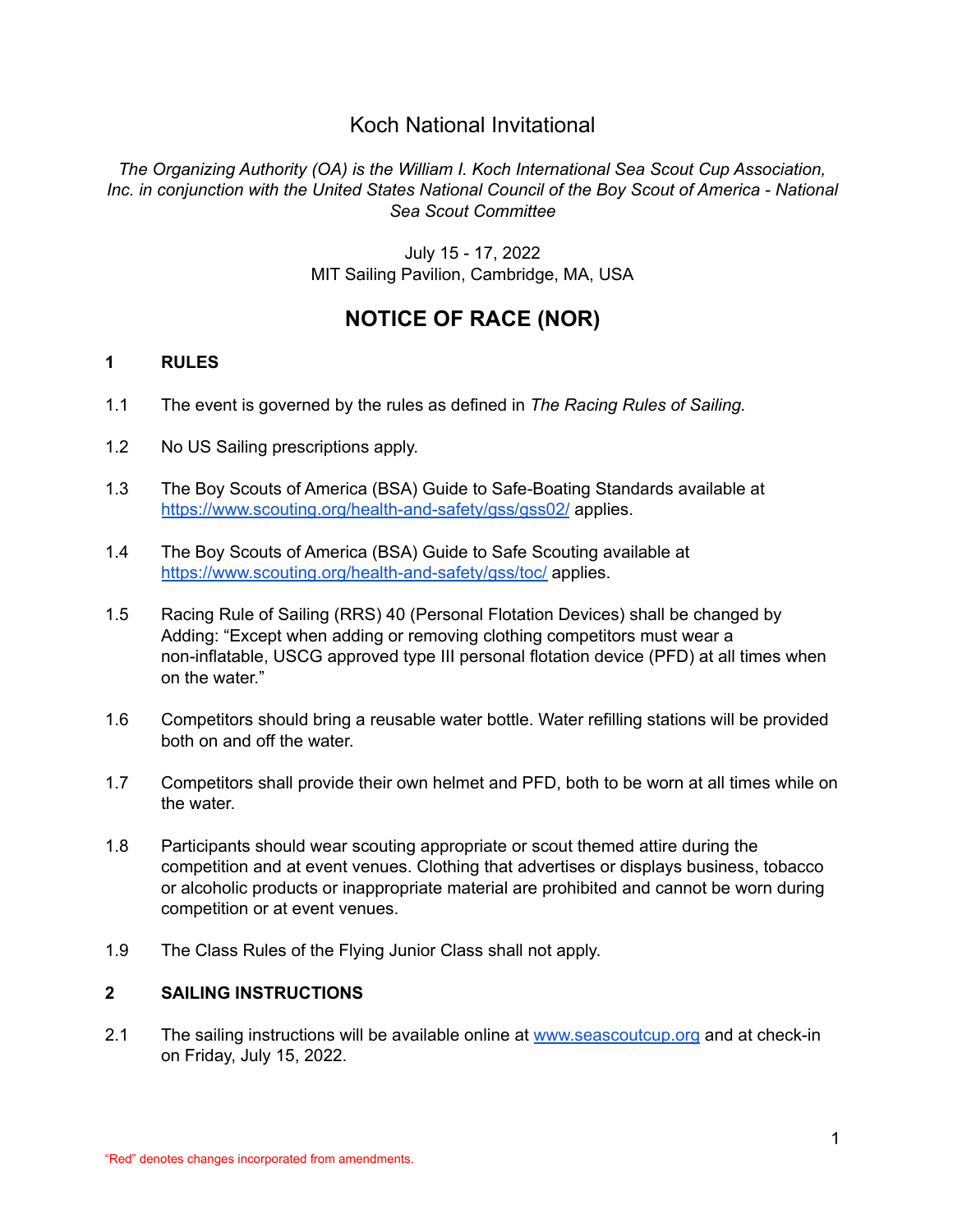# Koch National Invitational

*The Organizing Authority (OA) is the William I. Koch International Sea Scout Cup Association, Inc. in conjunction with the United States National Council of the Boy Scout of America - National Sea Scout Committee*

> July 15 - 17, 2022 MIT Sailing Pavilion, Cambridge, MA, USA

# **NOTICE OF RACE (NOR)**

# **1 RULES**

- 1.1 The event is governed by the rules as defined in *The Racing Rules of Sailing.*
- 1.2 No US Sailing prescriptions apply.
- 1.3 The Boy Scouts of America (BSA) Guide to Safe-Boating Standards available at <https://www.scouting.org/health-and-safety/gss/gss02/> applies.
- 1.4 The Boy Scouts of America (BSA) Guide to Safe Scouting available at <https://www.scouting.org/health-and-safety/gss/toc/> applies.
- 1.5 Racing Rule of Sailing (RRS) 40 (Personal Flotation Devices) shall be changed by Adding: "Except when adding or removing clothing competitors must wear a non-inflatable, USCG approved type III personal flotation device (PFD) at all times when on the water."
- 1.6 Competitors should bring a reusable water bottle. Water refilling stations will be provided both on and off the water.
- 1.7 Competitors shall provide their own helmet and PFD, both to be worn at all times while on the water.
- 1.8 Participants should wear scouting appropriate or scout themed attire during the competition and at event venues. Clothing that advertises or displays business, tobacco or alcoholic products or inappropriate material are prohibited and cannot be worn during competition or at event venues.
- 1.9 The Class Rules of the Flying Junior Class shall not apply.

# **2 SAILING INSTRUCTIONS**

2.1 The sailing instructions will be available online at [www.seascoutcup.org](http://www.seascoutcup.org) and at check-in on Friday, July 15, 2022.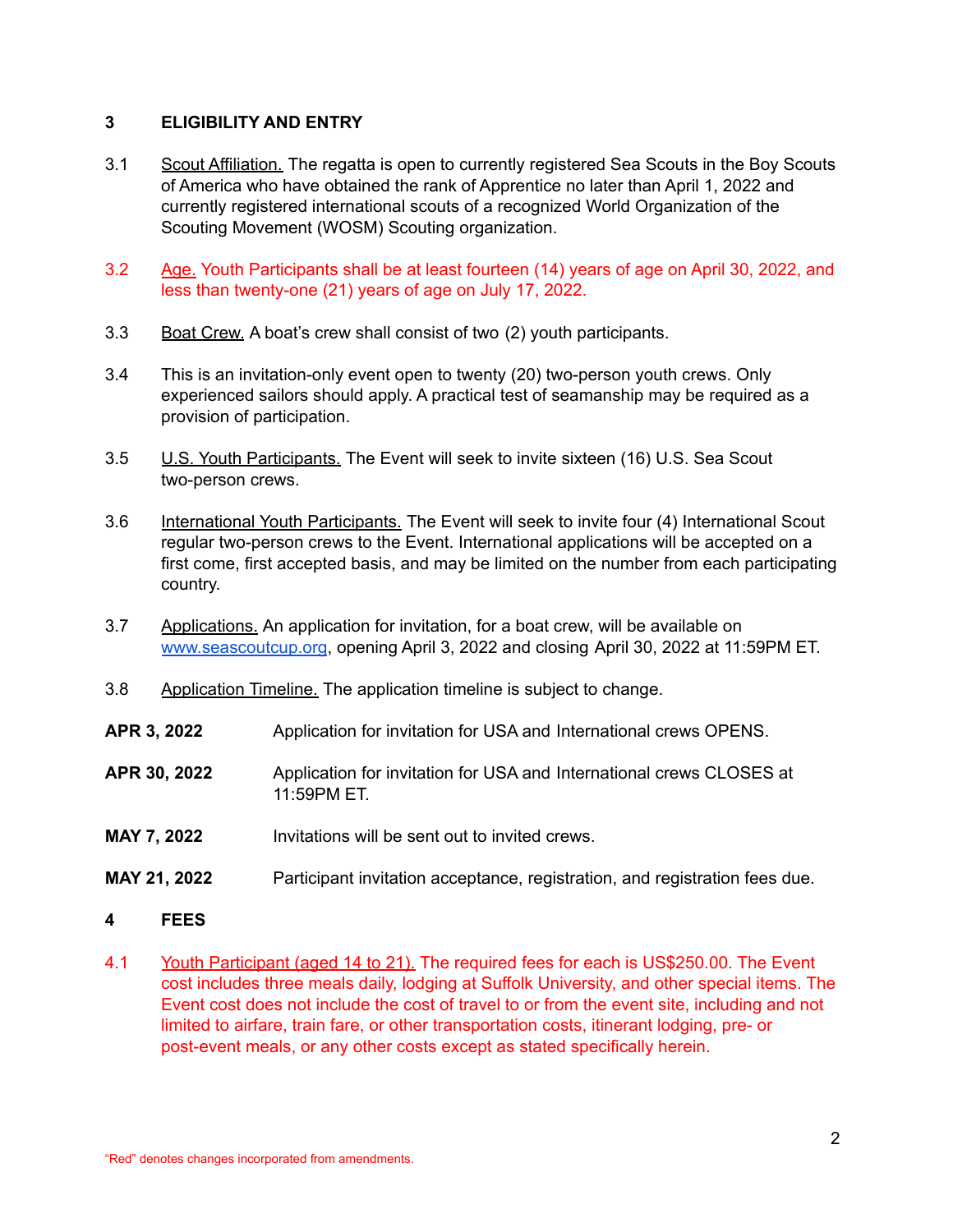#### **3 ELIGIBILITY AND ENTRY**

- 3.1 Scout Affiliation. The regatta is open to currently registered Sea Scouts in the Boy Scouts of America who have obtained the rank of Apprentice no later than April 1, 2022 and currently registered international scouts of a recognized World Organization of the Scouting Movement (WOSM) Scouting organization.
- 3.2 Age. Youth Participants shall be at least fourteen (14) years of age on April 30, 2022, and less than twenty-one (21) years of age on July 17, 2022.
- 3.3 Boat Crew. A boat's crew shall consist of two (2) youth participants.
- 3.4 This is an invitation-only event open to twenty (20) two-person youth crews. Only experienced sailors should apply. A practical test of seamanship may be required as a provision of participation.
- 3.5 U.S. Youth Participants. The Event will seek to invite sixteen (16) U.S. Sea Scout two-person crews.
- 3.6 International Youth Participants. The Event will seek to invite four (4) International Scout regular two-person crews to the Event. International applications will be accepted on a first come, first accepted basis, and may be limited on the number from each participating country.
- 3.7 Applications. An application for invitation, for a boat crew, will be available on [www.seascoutcup.org](http://www.seascoutcup.org), opening April 3, 2022 and closing April 30, 2022 at 11:59PM ET.
- 3.8 Application Timeline. The application timeline is subject to change.
- **APR 3, 2022** Application for invitation for USA and International crews OPENS.
- **APR 30, 2022** Application for invitation for USA and International crews CLOSES at 11:59PM ET.
- **MAY 7, 2022** Invitations will be sent out to invited crews.
- **MAY 21, 2022** Participant invitation acceptance, registration, and registration fees due.
- **4 FEES**
- 4.1 Youth Participant (aged 14 to 21). The required fees for each is US\$250.00. The Event cost includes three meals daily, lodging at Suffolk University, and other special items. The Event cost does not include the cost of travel to or from the event site, including and not limited to airfare, train fare, or other transportation costs, itinerant lodging, pre- or post-event meals, or any other costs except as stated specifically herein.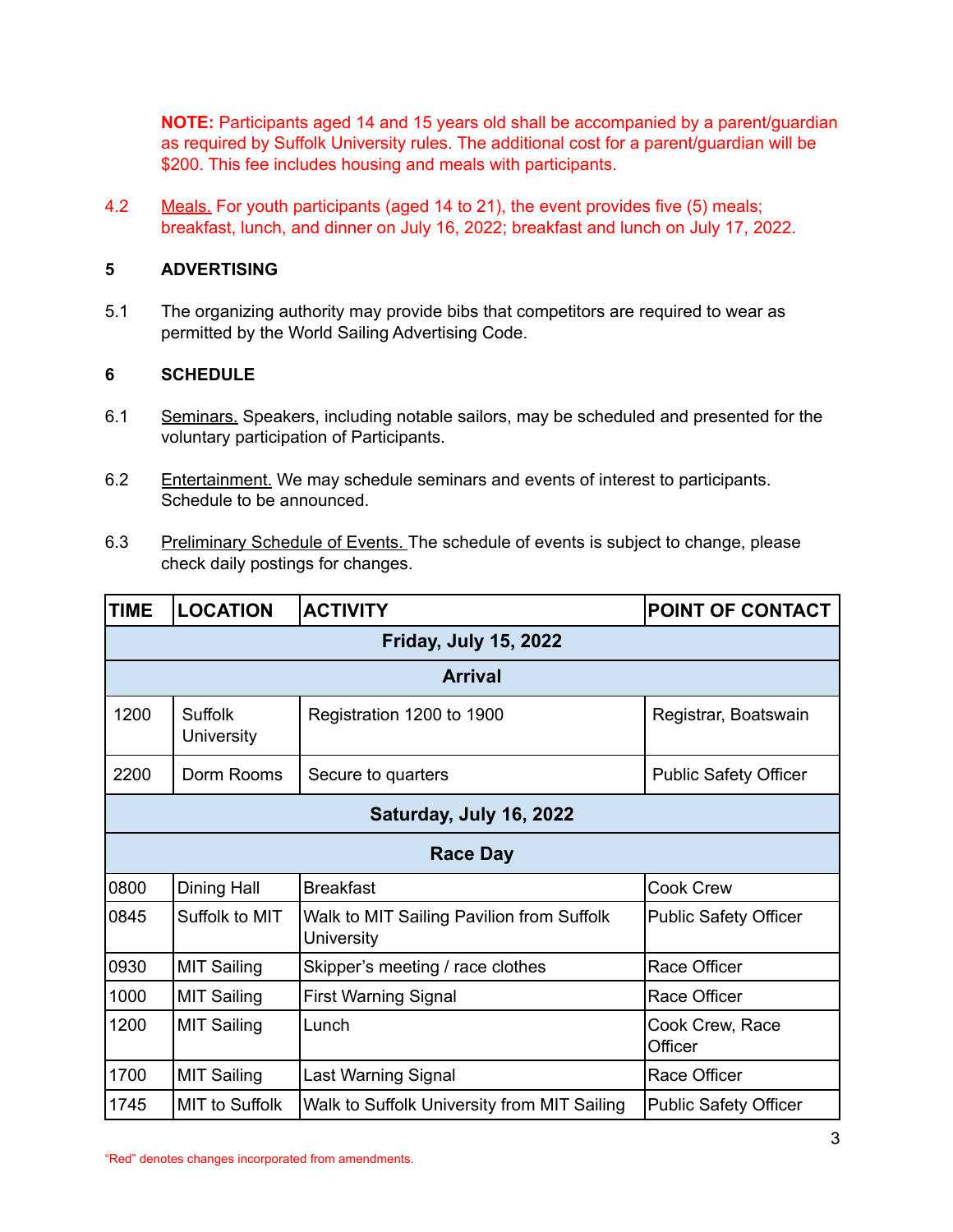**NOTE:** Participants aged 14 and 15 years old shall be accompanied by a parent/guardian as required by Suffolk University rules. The additional cost for a parent/guardian will be \$200. This fee includes housing and meals with participants.

4.2 Meals. For youth participants (aged 14 to 21), the event provides five (5) meals; breakfast, lunch, and dinner on July 16, 2022; breakfast and lunch on July 17, 2022.

# **5 ADVERTISING**

5.1 The organizing authority may provide bibs that competitors are required to wear as permitted by the World Sailing Advertising Code.

# **6 SCHEDULE**

- 6.1 Seminars. Speakers, including notable sailors, may be scheduled and presented for the voluntary participation of Participants.
- 6.2 Entertainment. We may schedule seminars and events of interest to participants. Schedule to be announced.
- 6.3 Preliminary Schedule of Events. The schedule of events is subject to change, please check daily postings for changes.

| <b>TIME</b>                  | <b>LOCATION</b>              | <b>ACTIVITY</b>                                         | <b>POINT OF CONTACT</b>      |  |  |
|------------------------------|------------------------------|---------------------------------------------------------|------------------------------|--|--|
| <b>Friday, July 15, 2022</b> |                              |                                                         |                              |  |  |
| <b>Arrival</b>               |                              |                                                         |                              |  |  |
| 1200                         | <b>Suffolk</b><br>University | Registration 1200 to 1900                               | Registrar, Boatswain         |  |  |
| 2200                         | Dorm Rooms                   | Secure to quarters                                      | <b>Public Safety Officer</b> |  |  |
| Saturday, July 16, 2022      |                              |                                                         |                              |  |  |
| <b>Race Day</b>              |                              |                                                         |                              |  |  |
| 0800                         | <b>Dining Hall</b>           | <b>Breakfast</b>                                        | <b>Cook Crew</b>             |  |  |
| 0845                         | Suffolk to MIT               | Walk to MIT Sailing Pavilion from Suffolk<br>University | <b>Public Safety Officer</b> |  |  |
| 0930                         | <b>MIT Sailing</b>           | Skipper's meeting / race clothes                        | Race Officer                 |  |  |
| 1000                         | <b>MIT Sailing</b>           | <b>First Warning Signal</b>                             | Race Officer                 |  |  |
| 1200                         | <b>MIT Sailing</b>           | Lunch                                                   | Cook Crew, Race<br>Officer   |  |  |
| 1700                         | <b>MIT Sailing</b>           | Last Warning Signal                                     | Race Officer                 |  |  |
| 1745                         | MIT to Suffolk               | Walk to Suffolk University from MIT Sailing             | <b>Public Safety Officer</b> |  |  |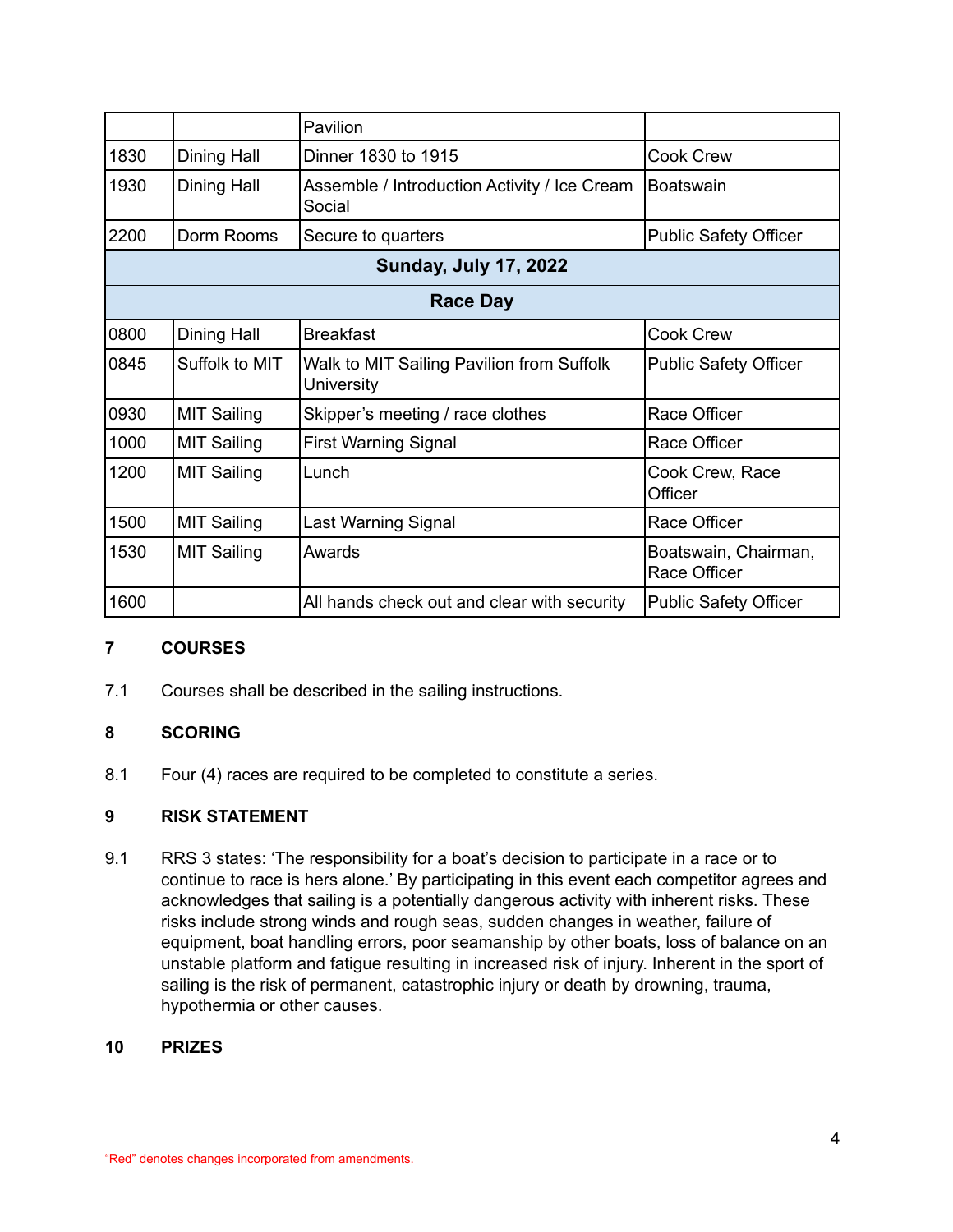|                              |                    | Pavilion                                                |                                      |  |  |
|------------------------------|--------------------|---------------------------------------------------------|--------------------------------------|--|--|
| 1830                         | Dining Hall        | Dinner 1830 to 1915                                     | <b>Cook Crew</b>                     |  |  |
| 1930                         | Dining Hall        | Assemble / Introduction Activity / Ice Cream<br>Social  | Boatswain                            |  |  |
| 2200                         | Dorm Rooms         | Secure to quarters                                      | <b>Public Safety Officer</b>         |  |  |
| <b>Sunday, July 17, 2022</b> |                    |                                                         |                                      |  |  |
| <b>Race Day</b>              |                    |                                                         |                                      |  |  |
| 0800                         | Dining Hall        | <b>Breakfast</b>                                        | <b>Cook Crew</b>                     |  |  |
| 0845                         | Suffolk to MIT     | Walk to MIT Sailing Pavilion from Suffolk<br>University | <b>Public Safety Officer</b>         |  |  |
| 0930                         | <b>MIT Sailing</b> | Skipper's meeting / race clothes                        | Race Officer                         |  |  |
| 1000                         | <b>MIT Sailing</b> | <b>First Warning Signal</b>                             | Race Officer                         |  |  |
| 1200                         | <b>MIT Sailing</b> | Lunch                                                   | Cook Crew, Race<br>Officer           |  |  |
| 1500                         | <b>MIT Sailing</b> | Last Warning Signal                                     | Race Officer                         |  |  |
| 1530                         | <b>MIT Sailing</b> | Awards                                                  | Boatswain, Chairman,<br>Race Officer |  |  |
| 1600                         |                    | All hands check out and clear with security             | <b>Public Safety Officer</b>         |  |  |

# **7 COURSES**

7.1 Courses shall be described in the sailing instructions.

# **8 SCORING**

8.1 Four (4) races are required to be completed to constitute a series.

# **9 RISK STATEMENT**

9.1 RRS 3 states: 'The responsibility for a boat's decision to participate in a race or to continue to race is hers alone.' By participating in this event each competitor agrees and acknowledges that sailing is a potentially dangerous activity with inherent risks. These risks include strong winds and rough seas, sudden changes in weather, failure of equipment, boat handling errors, poor seamanship by other boats, loss of balance on an unstable platform and fatigue resulting in increased risk of injury. Inherent in the sport of sailing is the risk of permanent, catastrophic injury or death by drowning, trauma, hypothermia or other causes.

# **10 PRIZES**